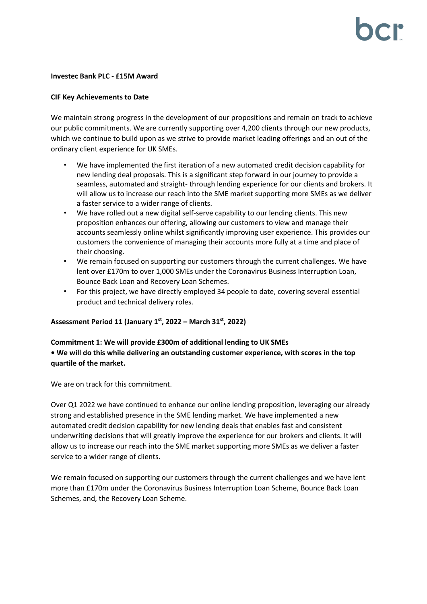## **Investec Bank PLC - £15M Award**

## **CIF Key Achievements to Date**

We maintain strong progress in the development of our propositions and remain on track to achieve our public commitments. We are currently supporting over 4,200 clients through our new products, which we continue to build upon as we strive to provide market leading offerings and an out of the ordinary client experience for UK SMEs.

- We have implemented the first iteration of a new automated credit decision capability for new lending deal proposals. This is a significant step forward in our journey to provide a seamless, automated and straight- through lending experience for our clients and brokers. It will allow us to increase our reach into the SME market supporting more SMEs as we deliver a faster service to a wider range of clients.
- We have rolled out a new digital self-serve capability to our lending clients. This new proposition enhances our offering, allowing our customers to view and manage their accounts seamlessly online whilst significantly improving user experience. This provides our customers the convenience of managing their accounts more fully at a time and place of their choosing.
- We remain focused on supporting our customers through the current challenges. We have lent over £170m to over 1,000 SMEs under the Coronavirus Business Interruption Loan, Bounce Back Loan and Recovery Loan Schemes.
- For this project, we have directly employed 34 people to date, covering several essential product and technical delivery roles.

# **Assessment Period 11 (January 1 st, 2022 – March 31 st, 2022)**

# **Commitment 1: We will provide £300m of additional lending to UK SMEs • We will do this while delivering an outstanding customer experience, with scores in the top quartile of the market.**

We are on track for this commitment.

Over Q1 2022 we have continued to enhance our online lending proposition, leveraging our already strong and established presence in the SME lending market. We have implemented a new automated credit decision capability for new lending deals that enables fast and consistent underwriting decisions that will greatly improve the experience for our brokers and clients. It will allow us to increase our reach into the SME market supporting more SMEs as we deliver a faster service to a wider range of clients.

We remain focused on supporting our customers through the current challenges and we have lent more than £170m under the Coronavirus Business Interruption Loan Scheme, Bounce Back Loan Schemes, and, the Recovery Loan Scheme.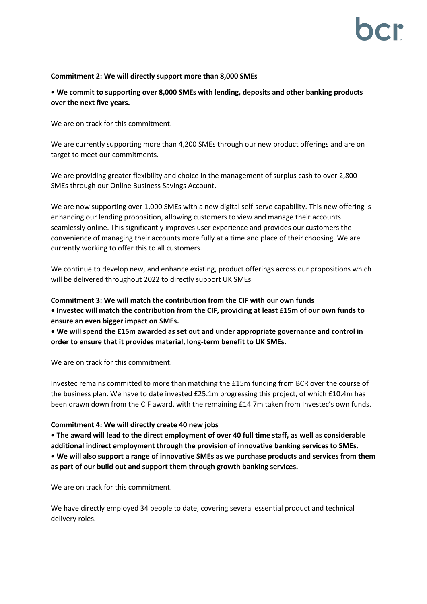# **Commitment 2: We will directly support more than 8,000 SMEs**

**• We commit to supporting over 8,000 SMEs with lending, deposits and other banking products over the next five years.**

We are on track for this commitment.

We are currently supporting more than 4,200 SMEs through our new product offerings and are on target to meet our commitments.

We are providing greater flexibility and choice in the management of surplus cash to over 2,800 SMEs through our Online Business Savings Account.

We are now supporting over 1,000 SMEs with a new digital self-serve capability. This new offering is enhancing our lending proposition, allowing customers to view and manage their accounts seamlessly online. This significantly improves user experience and provides our customers the convenience of managing their accounts more fully at a time and place of their choosing. We are currently working to offer this to all customers.

We continue to develop new, and enhance existing, product offerings across our propositions which will be delivered throughout 2022 to directly support UK SMEs.

**Commitment 3: We will match the contribution from the CIF with our own funds • Investec will match the contribution from the CIF, providing at least £15m of our own funds to ensure an even bigger impact on SMEs.**

**• We will spend the £15m awarded as set out and under appropriate governance and control in order to ensure that it provides material, long-term benefit to UK SMEs.**

We are on track for this commitment.

Investec remains committed to more than matching the £15m funding from BCR over the course of the business plan. We have to date invested £25.1m progressing this project, of which £10.4m has been drawn down from the CIF award, with the remaining £14.7m taken from Investec's own funds.

## **Commitment 4: We will directly create 40 new jobs**

**• The award will lead to the direct employment of over 40 full time staff, as well as considerable additional indirect employment through the provision of innovative banking services to SMEs. • We will also support a range of innovative SMEs as we purchase products and services from them as part of our build out and support them through growth banking services.**

We are on track for this commitment.

We have directly employed 34 people to date, covering several essential product and technical delivery roles.